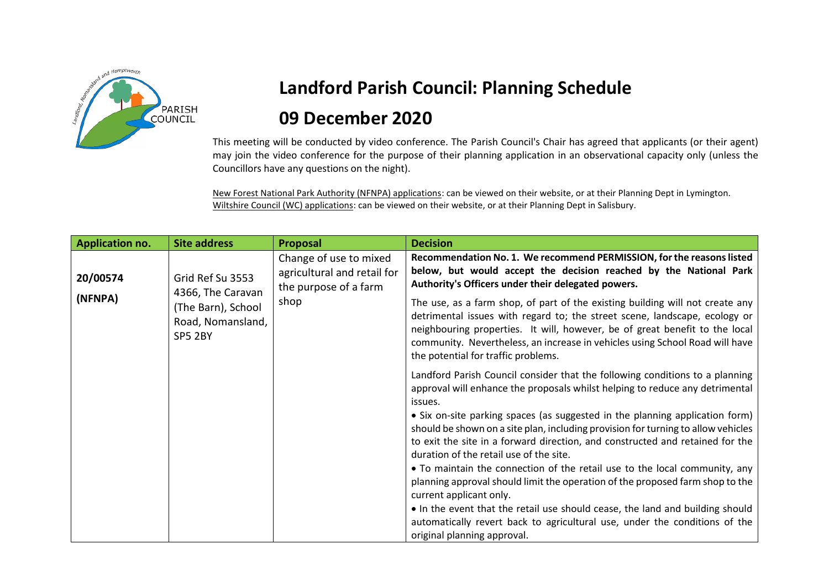

## **Landford Parish Council: Planning Schedule 09 December 2020**

This meeting will be conducted by video conference. The Parish Council's Chair has agreed that applicants (or their agent) may join the video conference for the purpose of their planning application in an observational capacity only (unless the Councillors have any questions on the night).

New Forest National Park Authority (NFNPA) applications: can be viewed on their website, or at their Planning Dept in Lymington. Wiltshire Council (WC) applications: can be viewed on their website, or at their Planning Dept in Salisbury.

| <b>Application no.</b> | <b>Site address</b>                                                                         | <b>Proposal</b>                                                                        | <b>Decision</b>                                                                                                                                                                                                                                                                                                                                                   |
|------------------------|---------------------------------------------------------------------------------------------|----------------------------------------------------------------------------------------|-------------------------------------------------------------------------------------------------------------------------------------------------------------------------------------------------------------------------------------------------------------------------------------------------------------------------------------------------------------------|
| 20/00574               | Grid Ref Su 3553<br>4366, The Caravan<br>(The Barn), School<br>Road, Nomansland,<br>SP5 2BY | Change of use to mixed<br>agricultural and retail for<br>the purpose of a farm<br>shop | Recommendation No. 1. We recommend PERMISSION, for the reasons listed<br>below, but would accept the decision reached by the National Park<br>Authority's Officers under their delegated powers.                                                                                                                                                                  |
| (NFNPA)                |                                                                                             |                                                                                        | The use, as a farm shop, of part of the existing building will not create any<br>detrimental issues with regard to; the street scene, landscape, ecology or<br>neighbouring properties. It will, however, be of great benefit to the local<br>community. Nevertheless, an increase in vehicles using School Road will have<br>the potential for traffic problems. |
|                        |                                                                                             |                                                                                        | Landford Parish Council consider that the following conditions to a planning<br>approval will enhance the proposals whilst helping to reduce any detrimental<br>issues.                                                                                                                                                                                           |
|                        |                                                                                             |                                                                                        | • Six on-site parking spaces (as suggested in the planning application form)<br>should be shown on a site plan, including provision for turning to allow vehicles<br>to exit the site in a forward direction, and constructed and retained for the<br>duration of the retail use of the site.                                                                     |
|                        |                                                                                             |                                                                                        | • To maintain the connection of the retail use to the local community, any<br>planning approval should limit the operation of the proposed farm shop to the<br>current applicant only.                                                                                                                                                                            |
|                        |                                                                                             |                                                                                        | • In the event that the retail use should cease, the land and building should<br>automatically revert back to agricultural use, under the conditions of the<br>original planning approval.                                                                                                                                                                        |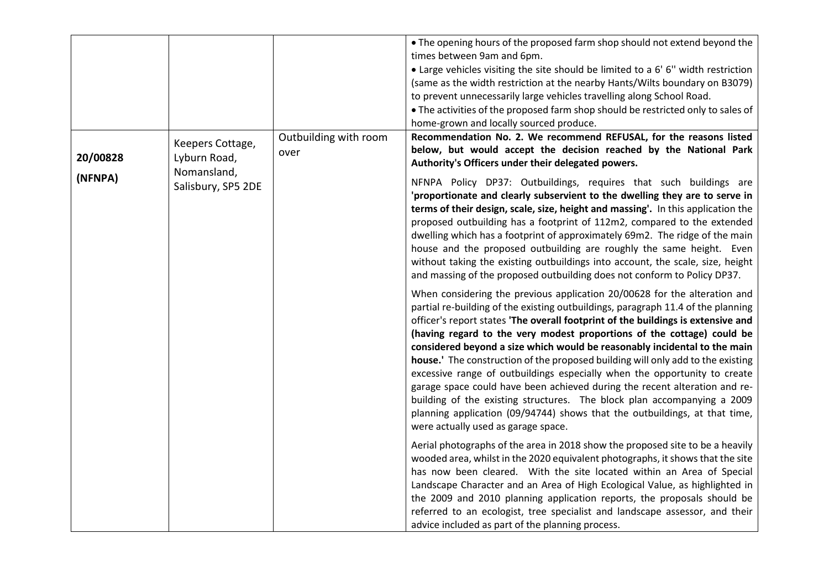|                     |                                                                       |                               | . The opening hours of the proposed farm shop should not extend beyond the<br>times between 9am and 6pm.<br>• Large vehicles visiting the site should be limited to a 6' 6" width restriction<br>(same as the width restriction at the nearby Hants/Wilts boundary on B3079)<br>to prevent unnecessarily large vehicles travelling along School Road.<br>• The activities of the proposed farm shop should be restricted only to sales of<br>home-grown and locally sourced produce.                                                                                                                                                                                                                                                                                                                                                                                                                                                                                                                                                                                                                                                                                                                                                                                                                                                                                                                                                                                                                                                                                                                                                                                                                                                                                                                                                                                                                                                                                                                                                                                                                                                                                                                                                     |
|---------------------|-----------------------------------------------------------------------|-------------------------------|------------------------------------------------------------------------------------------------------------------------------------------------------------------------------------------------------------------------------------------------------------------------------------------------------------------------------------------------------------------------------------------------------------------------------------------------------------------------------------------------------------------------------------------------------------------------------------------------------------------------------------------------------------------------------------------------------------------------------------------------------------------------------------------------------------------------------------------------------------------------------------------------------------------------------------------------------------------------------------------------------------------------------------------------------------------------------------------------------------------------------------------------------------------------------------------------------------------------------------------------------------------------------------------------------------------------------------------------------------------------------------------------------------------------------------------------------------------------------------------------------------------------------------------------------------------------------------------------------------------------------------------------------------------------------------------------------------------------------------------------------------------------------------------------------------------------------------------------------------------------------------------------------------------------------------------------------------------------------------------------------------------------------------------------------------------------------------------------------------------------------------------------------------------------------------------------------------------------------------------|
| 20/00828<br>(NFNPA) | Keepers Cottage,<br>Lyburn Road,<br>Nomansland,<br>Salisbury, SP5 2DE | Outbuilding with room<br>over | Recommendation No. 2. We recommend REFUSAL, for the reasons listed<br>below, but would accept the decision reached by the National Park<br>Authority's Officers under their delegated powers.<br>NFNPA Policy DP37: Outbuildings, requires that such buildings are<br>'proportionate and clearly subservient to the dwelling they are to serve in<br>terms of their design, scale, size, height and massing'. In this application the<br>proposed outbuilding has a footprint of 112m2, compared to the extended<br>dwelling which has a footprint of approximately 69m2. The ridge of the main<br>house and the proposed outbuilding are roughly the same height. Even<br>without taking the existing outbuildings into account, the scale, size, height<br>and massing of the proposed outbuilding does not conform to Policy DP37.<br>When considering the previous application 20/00628 for the alteration and<br>partial re-building of the existing outbuildings, paragraph 11.4 of the planning<br>officer's report states 'The overall footprint of the buildings is extensive and<br>(having regard to the very modest proportions of the cottage) could be<br>considered beyond a size which would be reasonably incidental to the main<br>house.' The construction of the proposed building will only add to the existing<br>excessive range of outbuildings especially when the opportunity to create<br>garage space could have been achieved during the recent alteration and re-<br>building of the existing structures. The block plan accompanying a 2009<br>planning application (09/94744) shows that the outbuildings, at that time,<br>were actually used as garage space.<br>Aerial photographs of the area in 2018 show the proposed site to be a heavily<br>wooded area, whilst in the 2020 equivalent photographs, it shows that the site<br>has now been cleared. With the site located within an Area of Special<br>Landscape Character and an Area of High Ecological Value, as highlighted in<br>the 2009 and 2010 planning application reports, the proposals should be<br>referred to an ecologist, tree specialist and landscape assessor, and their<br>advice included as part of the planning process. |